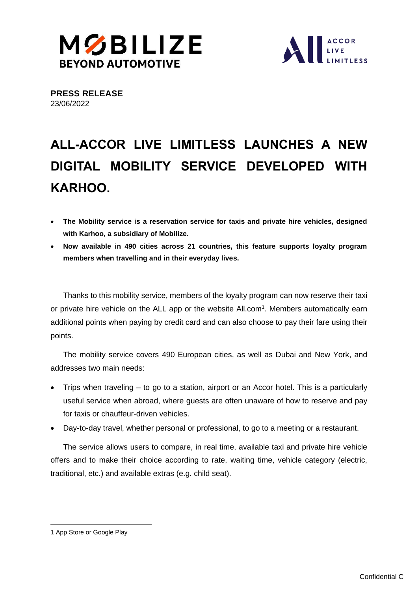



**PRESS RELEASE** 23/06/2022

# **ALL-ACCOR LIVE LIMITLESS LAUNCHES A NEW DIGITAL MOBILITY SERVICE DEVELOPED WITH KARHOO.**

- **The Mobility service is a reservation service for taxis and private hire vehicles, designed with Karhoo, a subsidiary of Mobilize.**
- **Now available in 490 cities across 21 countries, this feature supports loyalty program members when travelling and in their everyday lives.**

Thanks to this mobility service, members of the loyalty program can now reserve their taxi or private hire vehicle on the ALL app or the website All.com<sup>1</sup>. Members automatically earn additional points when paying by credit card and can also choose to pay their fare using their points.

The mobility service covers 490 European cities, as well as Dubai and New York, and addresses two main needs:

- Trips when traveling to go to a station, airport or an Accor hotel. This is a particularly useful service when abroad, where guests are often unaware of how to reserve and pay for taxis or chauffeur-driven vehicles.
- Day-to-day travel, whether personal or professional, to go to a meeting or a restaurant.

The service allows users to compare, in real time, available taxi and private hire vehicle offers and to make their choice according to rate, waiting time, vehicle category (electric, traditional, etc.) and available extras (e.g. child seat).

<sup>1</sup> [App Store](https://itunes.apple.com/fr/app/accorhotels.com/id489472613?mt=8) o[r Google Play](https://play.google.com/store/apps/details?id=com.accor.appli.hybrid#?t=W251bGwsMSwxLDlxMiY29tLmFjY29yLmFwcGxpLmh5YnJpZCJd)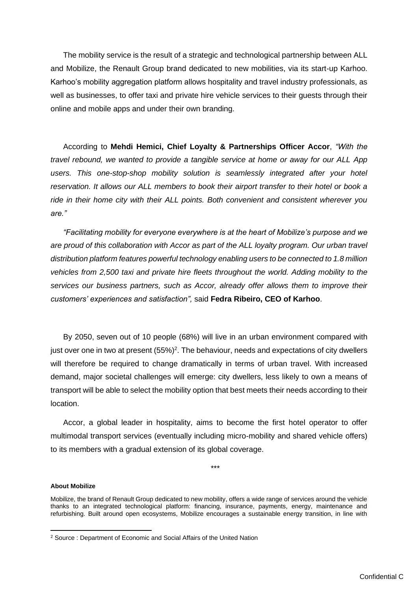The mobility service is the result of a strategic and technological partnership between ALL and Mobilize, the Renault Group brand dedicated to new mobilities, via its start-up Karhoo. Karhoo's mobility aggregation platform allows hospitality and travel industry professionals, as well as businesses, to offer taxi and private hire vehicle services to their guests through their online and mobile apps and under their own branding.

According to **Mehdi Hemici, Chief Loyalty & Partnerships Officer Accor**, *"With the travel rebound, we wanted to provide a tangible service at home or away for our ALL App users. This one-stop-shop mobility solution is seamlessly integrated after your hotel reservation. It allows our ALL members to book their airport transfer to their hotel or book a ride in their home city with their ALL points. Both convenient and consistent wherever you are."*

*"Facilitating mobility for everyone everywhere is at the heart of Mobilize's purpose and we are proud of this collaboration with Accor as part of the ALL loyalty program. Our urban travel distribution platform features powerful technology enabling users to be connected to 1.8 million vehicles from 2,500 taxi and private hire fleets throughout the world. Adding mobility to the services our business partners, such as Accor, already offer allows them to improve their customers' experiences and satisfaction",* said **Fedra Ribeiro, CEO of Karhoo**.

By 2050, seven out of 10 people (68%) will live in an urban environment compared with just over one in two at present  $(55%)^2$ . The behaviour, needs and expectations of city dwellers will therefore be required to change dramatically in terms of urban travel. With increased demand, major societal challenges will emerge: city dwellers, less likely to own a means of transport will be able to select the mobility option that best meets their needs according to their location.

Accor, a global leader in hospitality, aims to become the first hotel operator to offer multimodal transport services (eventually including micro-mobility and shared vehicle offers) to its members with a gradual extension of its global coverage.

\*\*\*

## **About Mobilize**

Mobilize, the brand of Renault Group dedicated to new mobility, offers a wide range of services around the vehicle thanks to an integrated technological platform: financing, insurance, payments, energy, maintenance and refurbishing. Built around open ecosystems, Mobilize encourages a sustainable energy transition, in line with

<sup>2</sup> Source : Department of Economic and Social Affairs of the United Nation